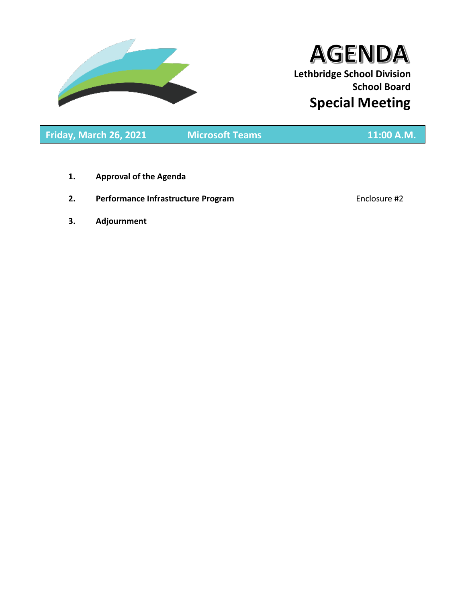

# **AGENDA Lethbridge School Division School Board Special Meeting**

**Friday, March 26, 2021 Microsoft Teams 11:00 A.M.**

- **1. Approval of the Agenda**
- **2. Performance Infrastructure Program Enclosure #2**

**3. Adjournment**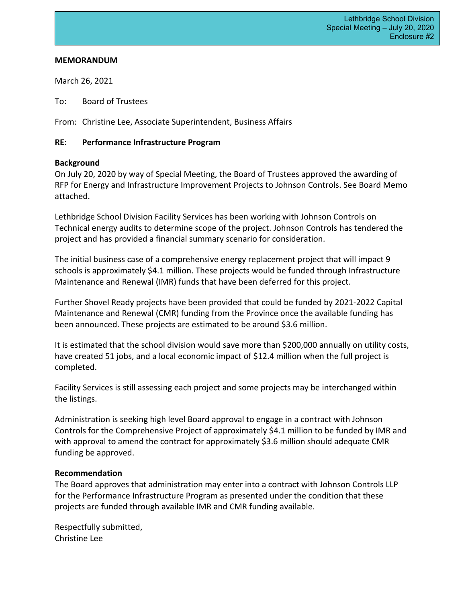## **MEMORANDUM**

March 26, 2021

To: Board of Trustees

From: Christine Lee, Associate Superintendent, Business Affairs

# **RE: Performance Infrastructure Program**

# **Background**

On July 20, 2020 by way of Special Meeting, the Board of Trustees approved the awarding of RFP for Energy and Infrastructure Improvement Projects to Johnson Controls. See Board Memo attached.

Lethbridge School Division Facility Services has been working with Johnson Controls on Technical energy audits to determine scope of the project. Johnson Controls has tendered the project and has provided a financial summary scenario for consideration.

The initial business case of a comprehensive energy replacement project that will impact 9 schools is approximately \$4.1 million. These projects would be funded through Infrastructure Maintenance and Renewal (IMR) funds that have been deferred for this project.

Further Shovel Ready projects have been provided that could be funded by 2021-2022 Capital Maintenance and Renewal (CMR) funding from the Province once the available funding has been announced. These projects are estimated to be around \$3.6 million.

It is estimated that the school division would save more than \$200,000 annually on utility costs, have created 51 jobs, and a local economic impact of \$12.4 million when the full project is completed.

Facility Services is still assessing each project and some projects may be interchanged within the listings.

Administration is seeking high level Board approval to engage in a contract with Johnson Controls for the Comprehensive Project of approximately \$4.1 million to be funded by IMR and with approval to amend the contract for approximately \$3.6 million should adequate CMR funding be approved.

# **Recommendation**

The Board approves that administration may enter into a contract with Johnson Controls LLP for the Performance Infrastructure Program as presented under the condition that these projects are funded through available IMR and CMR funding available.

Respectfully submitted, Christine Lee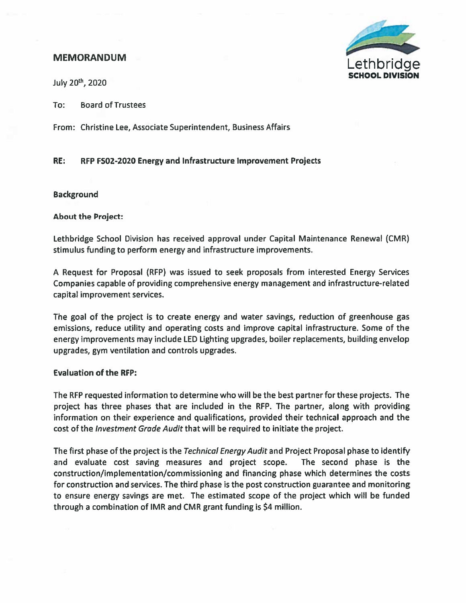# **MEMORANDUM**



July 20<sup>th</sup>, 2020

**Board of Trustees** To:

From: Christine Lee, Associate Superintendent, Business Affairs

#### RE: RFP FS02-2020 Energy and Infrastructure Improvement Projects

### **Background**

**About the Project:** 

Lethbridge School Division has received approval under Capital Maintenance Renewal (CMR) stimulus funding to perform energy and infrastructure improvements.

A Request for Proposal (RFP) was issued to seek proposals from interested Energy Services Companies capable of providing comprehensive energy management and infrastructure-related capital improvement services.

The goal of the project is to create energy and water savings, reduction of greenhouse gas emissions, reduce utility and operating costs and improve capital infrastructure. Some of the energy improvements may include LED Lighting upgrades, boiler replacements, building envelop upgrades, gym ventilation and controls upgrades.

### **Evaluation of the RFP:**

The RFP requested information to determine who will be the best partner for these projects. The project has three phases that are included in the RFP. The partner, along with providing information on their experience and qualifications, provided their technical approach and the cost of the *Investment Grade Audit* that will be required to initiate the project.

The first phase of the project is the Technical Energy Audit and Project Proposal phase to identify and evaluate cost saving measures and project scope. The second phase is the construction/implementation/commissioning and financing phase which determines the costs for construction and services. The third phase is the post construction guarantee and monitoring to ensure energy savings are met. The estimated scope of the project which will be funded through a combination of IMR and CMR grant funding is \$4 million.